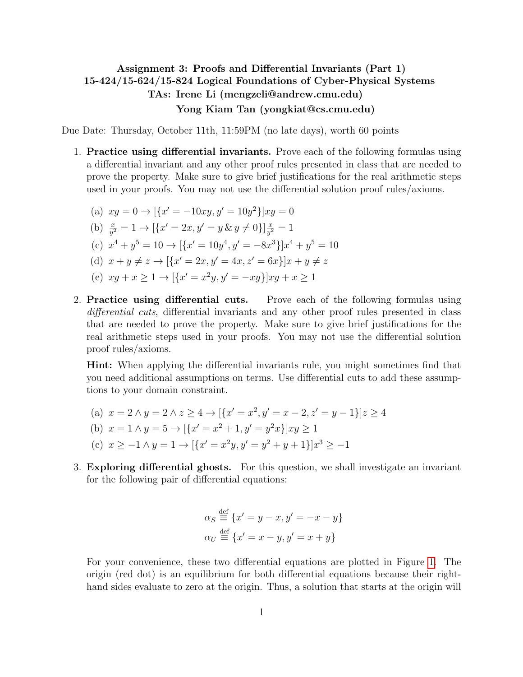## <span id="page-0-0"></span>Assignment 3: Proofs and Differential Invariants (Part 1) 15-424/15-624/15-824 Logical Foundations of Cyber-Physical Systems TAs: Irene Li (mengzeli@andrew.cmu.edu) Yong Kiam Tan (yongkiat@cs.cmu.edu)

Due Date: Thursday, October 11th, 11:59PM (no late days), worth 60 points

1. Practice using differential invariants. Prove each of the following formulas using a differential invariant and any other proof rules presented in class that are needed to prove the property. Make sure to give brief justifications for the real arithmetic steps used in your proofs. You may not use the differential solution proof rules/axioms.

(a) 
$$
xy = 0 \rightarrow [\{x' = -10xy, y' = 10y^2\}]xy = 0
$$
  
\n(b)  $\frac{x}{y^2} = 1 \rightarrow [\{x' = 2x, y' = y \& y \neq 0\}] \frac{x}{y^2} = 1$ 

- (c)  $x^4 + y^5 = 10 \rightarrow [\{x' = 10y^4, y' = -8x^3\}]x^4 + y^5 = 10$
- (d)  $x + y \neq z \rightarrow [\{x' = 2x, y' = 4x, z' = 6x\}]x + y \neq z$
- (e)  $xy + x \ge 1 \rightarrow [\{x' = x^2y, y' = -xy\}]xy + x \ge 1$
- 2. Practice using differential cuts. Prove each of the following formulas using differential cuts, differential invariants and any other proof rules presented in class that are needed to prove the property. Make sure to give brief justifications for the real arithmetic steps used in your proofs. You may not use the differential solution proof rules/axioms.

Hint: When applying the differential invariants rule, you might sometimes find that you need additional assumptions on terms. Use differential cuts to add these assumptions to your domain constraint.

- (a)  $x = 2 \land y = 2 \land z \ge 4 \rightarrow [\{x' = x^2, y' = x 2, z' = y 1\}]z \ge 4$
- (b)  $x = 1 \land y = 5 \rightarrow [{x' = x^2 + 1, y' = y^2x}]xy \ge 1$
- (c)  $x \ge -1 \land y = 1 \to [{x' = x^2y, y' = y^2 + y + 1}]x^3 \ge -1$
- 3. Exploring differential ghosts. For this question, we shall investigate an invariant for the following pair of differential equations:

$$
\alpha_S \stackrel{\text{def}}{=} \{x' = y - x, y' = -x - y\}
$$

$$
\alpha_U \stackrel{\text{def}}{=} \{x' = x - y, y' = x + y\}
$$

For your convenience, these two differential equations are plotted in Figure [1.](#page-1-0) The origin (red dot) is an equilibrium for both differential equations because their righthand sides evaluate to zero at the origin. Thus, a solution that starts at the origin will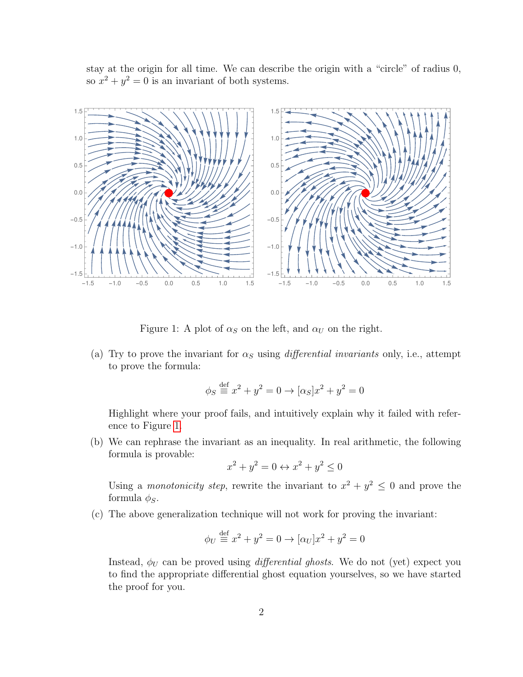stay at the origin for all time. We can describe the origin with a "circle" of radius 0, so  $x^2 + y^2 = 0$  is an invariant of both systems.



Figure 1: A plot of  $\alpha_S$  on the left, and  $\alpha_U$  on the right.

<span id="page-1-0"></span>(a) Try to prove the invariant for  $\alpha_S$  using *differential invariants* only, i.e., attempt to prove the formula:

$$
\phi_S \stackrel{\text{def}}{=} x^2 + y^2 = 0 \rightarrow [\alpha_S] x^2 + y^2 = 0
$$

Highlight where your proof fails, and intuitively explain why it failed with reference to Figure [1.](#page-1-0)

(b) We can rephrase the invariant as an inequality. In real arithmetic, the following formula is provable:

$$
x^2 + y^2 = 0 \leftrightarrow x^2 + y^2 \le 0
$$

Using a *monotonicity step*, rewrite the invariant to  $x^2 + y^2 \leq 0$  and prove the formula  $\phi_S$ .

(c) The above generalization technique will not work for proving the invariant:

$$
\phi_U \stackrel{\text{def}}{=} x^2 + y^2 = 0 \to [\alpha_U] x^2 + y^2 = 0
$$

Instead,  $\phi_U$  can be proved using *differential ghosts*. We do not (yet) expect you to find the appropriate differential ghost equation yourselves, so we have started the proof for you.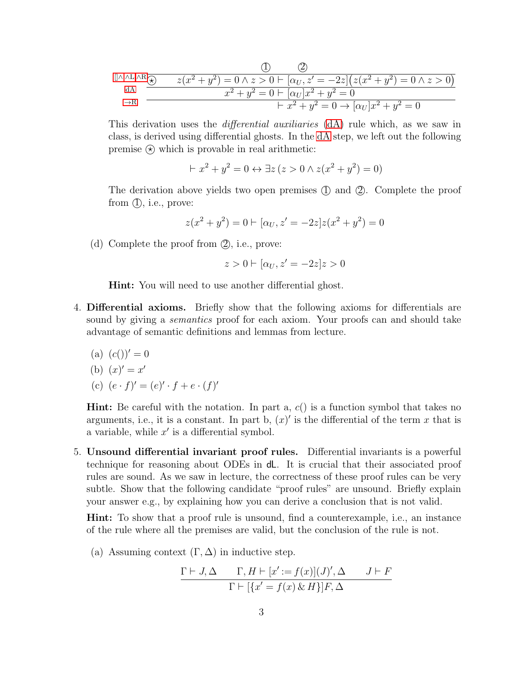$$
\begin{array}{ccc}\n & \textcircled{1} & \textcircled{2} & \\
\hline\n\text{dA} & & \textcircled{x} & z(x^2 + y^2) = 0 \land z > 0 \vdash [\alpha_U, z' = -2z](z(x^2 + y^2) = 0 \land z > 0) \\
\hline\n\text{dA} & & x^2 + y^2 = 0 \vdash [\alpha_U]x^2 + y^2 = 0 & \\
&\quad \qquad \vdots & \quad \qquad \vdots & \quad \qquad \vdots & \quad \textcircled{x} & \\
\hline\n\text{dA} & & & \textcircled{x} & & \textcircled{x} & \\
\end{array}
$$

This derivation uses the differential auxiliaries [\(dA\)](#page-0-0) rule which, as we saw in class, is derived using differential ghosts. In the [dA](#page-0-0) step, we left out the following premise  $\circledast$  which is provable in real arithmetic:

$$
x^{2} + y^{2} = 0 \leftrightarrow \exists z (z > 0 \land z(x^{2} + y^{2}) = 0)
$$

The derivation above yields two open premises  $(1)$  and  $(2)$ . Complete the proof from  $(I)$ , i.e., prove:

$$
z(x^{2} + y^{2}) = 0 \vdash [\alpha_{U}, z' = -2z]z(x^{2} + y^{2}) = 0
$$

(d) Complete the proof from  $(2)$ , i.e., prove:

$$
z>0\vdash [\alpha_U,z'=-2z]z>0
$$

Hint: You will need to use another differential ghost.

- 4. Differential axioms. Briefly show that the following axioms for differentials are sound by giving a *semantics* proof for each axiom. Your proofs can and should take advantage of semantic definitions and lemmas from lecture.
	- (a)  $(c())' = 0$
	- (b)  $(x)' = x'$
	- (c)  $(e \cdot f)' = (e)' \cdot f + e \cdot (f)'$

**Hint:** Be careful with the notation. In part a,  $c()$  is a function symbol that takes no arguments, i.e., it is a constant. In part b,  $(x)'$  is the differential of the term x that is a variable, while  $x'$  is a differential symbol.

5. Unsound differential invariant proof rules. Differential invariants is a powerful technique for reasoning about ODEs in dL. It is crucial that their associated proof rules are sound. As we saw in lecture, the correctness of these proof rules can be very subtle. Show that the following candidate "proof rules" are unsound. Briefly explain your answer e.g., by explaining how you can derive a conclusion that is not valid.

Hint: To show that a proof rule is unsound, find a counterexample, i.e., an instance of the rule where all the premises are valid, but the conclusion of the rule is not.

(a) Assuming context  $(\Gamma, \Delta)$  in inductive step.

$$
\frac{\Gamma \vdash J, \Delta \qquad \Gamma, H \vdash [x' := f(x)](J)', \Delta \qquad J \vdash F}{\Gamma \vdash [\{x' = f(x) \& H\}]F, \Delta}
$$